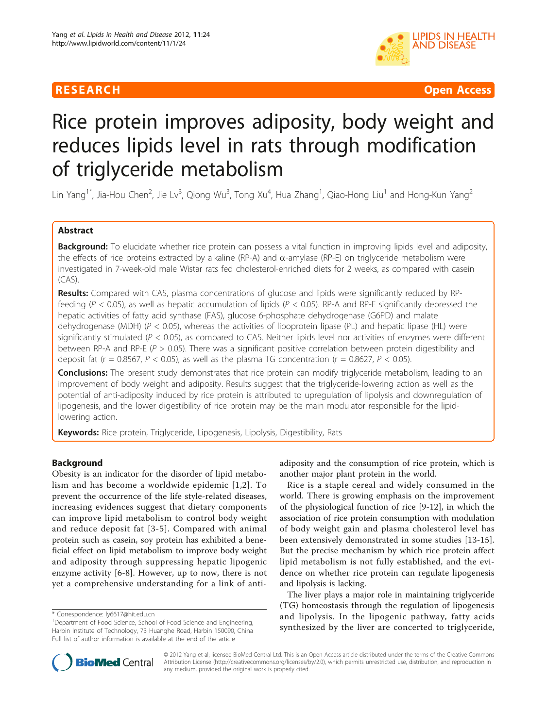

**RESEARCH Open Access CONTRACTES AND ACCESS CONTRACTES AND ACCESS CONTRACTES AND ACCESS** 

# Rice protein improves adiposity, body weight and reduces lipids level in rats through modification of triglyceride metabolism

Lin Yang $^{\rm 1*}$ , Jia-Hou Chen $^{\rm 2}$ , Jie Lv $^{\rm 3}$ , Qiong Wu $^{\rm 3}$ , Tong Xu $^{\rm 4}$ , Hua Zhang $^{\rm 1}$ , Qiao-Hong Liu $^{\rm 1}$  and Hong-Kun Yang $^{\rm 2}$ 

# Abstract

Background: To elucidate whether rice protein can possess a vital function in improving lipids level and adiposity, the effects of rice proteins extracted by alkaline (RP-A) and  $\alpha$ -amylase (RP-E) on triglyceride metabolism were investigated in 7-week-old male Wistar rats fed cholesterol-enriched diets for 2 weeks, as compared with casein (CAS).

Results: Compared with CAS, plasma concentrations of glucose and lipids were significantly reduced by RPfeeding ( $P < 0.05$ ), as well as hepatic accumulation of lipids ( $P < 0.05$ ). RP-A and RP-E significantly depressed the hepatic activities of fatty acid synthase (FAS), glucose 6-phosphate dehydrogenase (G6PD) and malate dehydrogenase (MDH) ( $P < 0.05$ ), whereas the activities of lipoprotein lipase (PL) and hepatic lipase (HL) were significantly stimulated ( $P < 0.05$ ), as compared to CAS. Neither lipids level nor activities of enzymes were different between RP-A and RP-E ( $P > 0.05$ ). There was a significant positive correlation between protein digestibility and deposit fat (r = 0.8567,  $P < 0.05$ ), as well as the plasma TG concentration (r = 0.8627,  $P < 0.05$ ).

**Conclusions:** The present study demonstrates that rice protein can modify triglyceride metabolism, leading to an improvement of body weight and adiposity. Results suggest that the triglyceride-lowering action as well as the potential of anti-adiposity induced by rice protein is attributed to upregulation of lipolysis and downregulation of lipogenesis, and the lower digestibility of rice protein may be the main modulator responsible for the lipidlowering action.

Keywords: Rice protein, Triglyceride, Lipogenesis, Lipolysis, Digestibility, Rats

# Background

Obesity is an indicator for the disorder of lipid metabolism and has become a worldwide epidemic [[1](#page-9-0),[2](#page-9-0)]. To prevent the occurrence of the life style-related diseases, increasing evidences suggest that dietary components can improve lipid metabolism to control body weight and reduce deposit fat [[3-5\]](#page-9-0). Compared with animal protein such as casein, soy protein has exhibited a beneficial effect on lipid metabolism to improve body weight and adiposity through suppressing hepatic lipogenic enzyme activity [[6-8\]](#page-9-0). However, up to now, there is not yet a comprehensive understanding for a link of antiadiposity and the consumption of rice protein, which is another major plant protein in the world.

Rice is a staple cereal and widely consumed in the world. There is growing emphasis on the improvement of the physiological function of rice [\[9](#page-9-0)-[12\]](#page-9-0), in which the association of rice protein consumption with modulation of body weight gain and plasma cholesterol level has been extensively demonstrated in some studies [\[13-15](#page-9-0)]. But the precise mechanism by which rice protein affect lipid metabolism is not fully established, and the evidence on whether rice protein can regulate lipogenesis and lipolysis is lacking.

The liver plays a major role in maintaining triglyceride (TG) homeostasis through the regulation of lipogenesis and lipolysis. In the lipogenic pathway, fatty acids synthesized by the liver are concerted to triglyceride,



© 2012 Yang et al; licensee BioMed Central Ltd. This is an Open Access article distributed under the terms of the Creative Commons Attribution License [\(http://creativecommons.org/licenses/by/2.0](http://creativecommons.org/licenses/by/2.0)), which permits unrestricted use, distribution, and reproduction in any medium, provided the original work is properly cited.

<sup>\*</sup> Correspondence: [ly6617@hit.edu.cn](mailto:ly6617@hit.edu.cn)

<sup>&</sup>lt;sup>1</sup>Department of Food Science, School of Food Science and Engineering, Harbin Institute of Technology, 73 Huanghe Road, Harbin 150090, China Full list of author information is available at the end of the article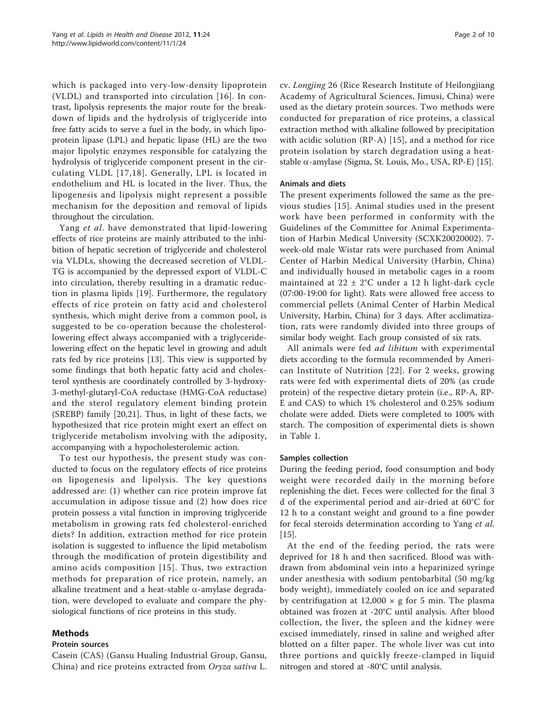which is packaged into very-low-density lipoprotein (VLDL) and transported into circulation [[16](#page-9-0)]. In contrast, lipolysis represents the major route for the breakdown of lipids and the hydrolysis of triglyceride into free fatty acids to serve a fuel in the body, in which lipoprotein lipase (LPL) and hepatic lipase (HL) are the two major lipolytic enzymes responsible for catalyzing the hydrolysis of triglyceride component present in the circulating VLDL [[17](#page-9-0),[18](#page-9-0)]. Generally, LPL is located in endothelium and HL is located in the liver. Thus, the lipogenesis and lipolysis might represent a possible mechanism for the deposition and removal of lipids throughout the circulation.

Yang *et al.* have demonstrated that lipid-lowering effects of rice proteins are mainly attributed to the inhibition of hepatic secretion of triglyceride and cholesterol via VLDLs, showing the decreased secretion of VLDL-TG is accompanied by the depressed export of VLDL-C into circulation, thereby resulting in a dramatic reduction in plasma lipids [[19\]](#page-9-0). Furthermore, the regulatory effects of rice protein on fatty acid and cholesterol synthesis, which might derive from a common pool, is suggested to be co-operation because the cholesterollowering effect always accompanied with a triglyceridelowering effect on the hepatic level in growing and adult rats fed by rice proteins [[13](#page-9-0)]. This view is supported by some findings that both hepatic fatty acid and cholesterol synthesis are coordinately controlled by 3-hydroxy-3-methyl-glutaryl-CoA reductase (HMG-CoA reductase) and the sterol regulatory element binding protein (SREBP) family [[20,21\]](#page-9-0). Thus, in light of these facts, we hypothesized that rice protein might exert an effect on triglyceride metabolism involving with the adiposity, accompanying with a hypocholesterolemic action.

To test our hypothesis, the present study was conducted to focus on the regulatory effects of rice proteins on lipogenesis and lipolysis. The key questions addressed are: (1) whether can rice protein improve fat accumulation in adipose tissue and (2) how does rice protein possess a vital function in improving triglyceride metabolism in growing rats fed cholesterol-enriched diets? In addition, extraction method for rice protein isolation is suggested to influence the lipid metabolism through the modification of protein digestibility and amino acids composition [\[15](#page-9-0)]. Thus, two extraction methods for preparation of rice protein, namely, an alkaline treatment and a heat-stable  $\alpha$ -amylase degradation, were developed to evaluate and compare the physiological functions of rice proteins in this study.

# Methods

### Protein sources

Casein (CAS) (Gansu Hualing Industrial Group, Gansu, China) and rice proteins extracted from Oryza sativa L.

cv. Longjing 26 (Rice Research Institute of Heilongjiang Academy of Agricultural Sciences, Jimusi, China) were used as the dietary protein sources. Two methods were conducted for preparation of rice proteins, a classical extraction method with alkaline followed by precipitation with acidic solution (RP-A) [\[15\]](#page-9-0), and a method for rice protein isolation by starch degradation using a heatstable  $\alpha$ -amylase (Sigma, St. Louis, Mo., USA, RP-E) [\[15](#page-9-0)].

### Animals and diets

The present experiments followed the same as the previous studies [\[15\]](#page-9-0). Animal studies used in the present work have been performed in conformity with the Guidelines of the Committee for Animal Experimentation of Harbin Medical University (SCXK20020002). 7 week-old male Wistar rats were purchased from Animal Center of Harbin Medical University (Harbin, China) and individually housed in metabolic cages in a room maintained at  $22 \pm 2$ °C under a 12 h light-dark cycle (07:00-19:00 for light). Rats were allowed free access to commercial pellets (Animal Center of Harbin Medical University, Harbin, China) for 3 days. After acclimatization, rats were randomly divided into three groups of similar body weight. Each group consisted of six rats.

All animals were fed *ad libitum* with experimental diets according to the formula recommended by American Institute of Nutrition [[22](#page-9-0)]. For 2 weeks, growing rats were fed with experimental diets of 20% (as crude protein) of the respective dietary protein (i.e., RP-A, RP-E and CAS) to which 1% cholesterol and 0.25% sodium cholate were added. Diets were completed to 100% with starch. The composition of experimental diets is shown in Table [1.](#page-2-0)

### Samples collection

During the feeding period, food consumption and body weight were recorded daily in the morning before replenishing the diet. Feces were collected for the final 3 d of the experimental period and air-dried at 60°C for 12 h to a constant weight and ground to a fine powder for fecal steroids determination according to Yang et al. [[15\]](#page-9-0).

At the end of the feeding period, the rats were deprived for 18 h and then sacrificed. Blood was withdrawn from abdominal vein into a heparinized syringe under anesthesia with sodium pentobarbital (50 mg/kg body weight), immediately cooled on ice and separated by centrifugation at  $12,000 \times g$  for 5 min. The plasma obtained was frozen at -20°C until analysis. After blood collection, the liver, the spleen and the kidney were excised immediately, rinsed in saline and weighed after blotted on a filter paper. The whole liver was cut into three portions and quickly freeze-clamped in liquid nitrogen and stored at -80°C until analysis.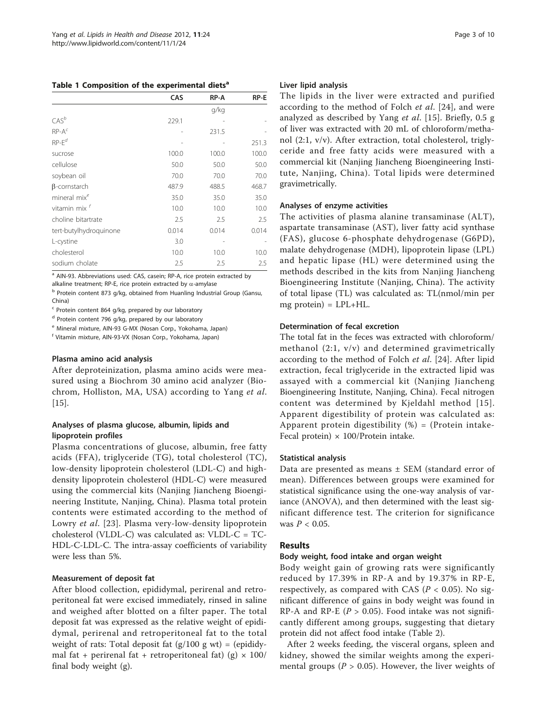<span id="page-2-0"></span>Table 1 Composition of the experimental diets<sup>a</sup>

|                          | CAS   | <b>RP-A</b> | RP-E  |
|--------------------------|-------|-------------|-------|
|                          |       | g/kg        |       |
| $CAS^b$                  | 229.1 |             |       |
| $RP-Ac$                  |       | 231.5       |       |
| $RP-F^d$                 |       |             | 251.3 |
| sucrose                  | 100.0 | 100.0       | 100.0 |
| cellulose                | 50.0  | 50.0        | 50.0  |
| soybean oil              | 70.0  | 70.0        | 70.0  |
| $\beta$ -cornstarch      | 487.9 | 488.5       | 468.7 |
| mineral mix <sup>e</sup> | 35.0  | 35.0        | 35.0  |
| vitamin mix <sup>f</sup> | 10.0  | 10.0        | 10.0  |
| choline bitartrate       | 2.5   | 2.5         | 2.5   |
| tert-butylhydroquinone   | 0.014 | 0.014       | 0.014 |
| L-cystine                | 3.0   |             |       |
| cholesterol              | 10.0  | 10.0        | 10.0  |
| sodium cholate           | 2.5   | 2.5         | 2.5   |

<sup>a</sup> AIN-93. Abbreviations used: CAS, casein; RP-A, rice protein extracted by alkaline treatment; RP-E, rice protein extracted by  $\alpha$ -amylase

<sup>b</sup> Protein content 873 g/kg, obtained from Huanling Industrial Group (Gansu, China)

<sup>c</sup> Protein content 864 g/kg, prepared by our laboratory

<sup>d</sup> Protein content 796 g/kg, prepared by our laboratory

<sup>e</sup> Mineral mixture, AIN-93 G-MX (Nosan Corp., Yokohama, Japan)

<sup>f</sup> Vitamin mixture, AIN-93-VX (Nosan Corp., Yokohama, Japan)

### Plasma amino acid analysis

After deproteinization, plasma amino acids were measured using a Biochrom 30 amino acid analyzer (Biochrom, Holliston, MA, USA) according to Yang et al. [[15\]](#page-9-0).

# Analyses of plasma glucose, albumin, lipids and lipoprotein profiles

Plasma concentrations of glucose, albumin, free fatty acids (FFA), triglyceride (TG), total cholesterol (TC), low-density lipoprotein cholesterol (LDL-C) and highdensity lipoprotein cholesterol (HDL-C) were measured using the commercial kits (Nanjing Jiancheng Bioengineering Institute, Nanjing, China). Plasma total protein contents were estimated according to the method of Lowry et al. [[23\]](#page-9-0). Plasma very-low-density lipoprotein cholesterol (VLDL-C) was calculated as: VLDL-C = TC-HDL-C-LDL-C. The intra-assay coefficients of variability were less than 5%.

# Measurement of deposit fat

After blood collection, epididymal, perirenal and retroperitoneal fat were excised immediately, rinsed in saline and weighed after blotted on a filter paper. The total deposit fat was expressed as the relative weight of epididymal, perirenal and retroperitoneal fat to the total weight of rats: Total deposit fat  $(g/100 g wt) = (epididy$ mal fat + perirenal fat + retroperitoneal fat) (g)  $\times$  100/ final body weight (g).

#### Liver lipid analysis

The lipids in the liver were extracted and purified according to the method of Folch et al. [[24\]](#page-9-0), and were analyzed as described by Yang et al. [[15\]](#page-9-0). Briefly, 0.5 g of liver was extracted with 20 mL of chloroform/methanol (2:1, v/v). After extraction, total cholesterol, triglyceride and free fatty acids were measured with a commercial kit (Nanjing Jiancheng Bioengineering Institute, Nanjing, China). Total lipids were determined gravimetrically.

#### Analyses of enzyme activities

The activities of plasma alanine transaminase (ALT), aspartate transaminase (AST), liver fatty acid synthase (FAS), glucose 6-phosphate dehydrogenase (G6PD), malate dehydrogenase (MDH), lipoprotein lipase (LPL) and hepatic lipase (HL) were determined using the methods described in the kits from Nanjing Jiancheng Bioengineering Institute (Nanjing, China). The activity of total lipase (TL) was calculated as: TL(nmol/min per mg protein) = LPL+HL.

#### Determination of fecal excretion

The total fat in the feces was extracted with chloroform/ methanol (2:1, v/v) and determined gravimetrically according to the method of Folch et al. [[24\]](#page-9-0). After lipid extraction, fecal triglyceride in the extracted lipid was assayed with a commercial kit (Nanjing Jiancheng Bioengineering Institute, Nanjing, China). Fecal nitrogen content was determined by Kjeldahl method [[15\]](#page-9-0). Apparent digestibility of protein was calculated as: Apparent protein digestibility  $(\%)$  = (Protein intake-Fecal protein)  $\times$  100/Protein intake.

#### Statistical analysis

Data are presented as means ± SEM (standard error of mean). Differences between groups were examined for statistical significance using the one-way analysis of variance (ANOVA), and then determined with the least significant difference test. The criterion for significance was  $P < 0.05$ .

# **Results**

#### Body weight, food intake and organ weight

Body weight gain of growing rats were significantly reduced by 17.39% in RP-A and by 19.37% in RP-E, respectively, as compared with CAS ( $P < 0.05$ ). No significant difference of gains in body weight was found in RP-A and RP-E ( $P > 0.05$ ). Food intake was not significantly different among groups, suggesting that dietary protein did not affect food intake (Table [2](#page-3-0)).

After 2 weeks feeding, the visceral organs, spleen and kidney, showed the similar weights among the experimental groups ( $P > 0.05$ ). However, the liver weights of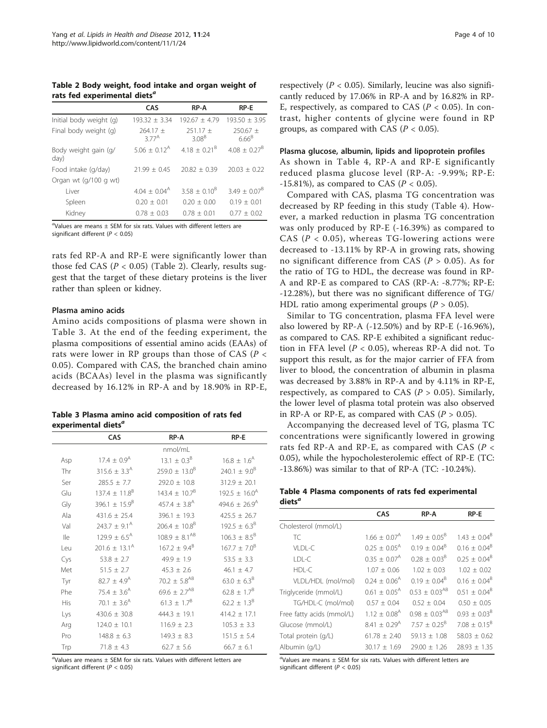<span id="page-3-0"></span>Table 2 Body weight, food intake and organ weight of rats fed experimental diets<sup> $a$ </sup>

|                              | CAS                        | RP-A                              | RP-E                             |
|------------------------------|----------------------------|-----------------------------------|----------------------------------|
| Initial body weight (g)      | $193.32 + 3.34$            | $192.67 + 4.79$                   | $193.50 \pm 3.95$                |
| Final body weight (g)        | $264.17 +$<br>$377^A$      | $251.17 \pm$<br>3.08 <sup>B</sup> | $250.67 \pm$<br>666 <sup>B</sup> |
| Body weight gain (g/<br>day) | $5.06 \pm 0.12^{\text{A}}$ | $4.18 + 0.21^{B}$                 | $4.08 + 0.27^{\circ}$            |
| Food intake (g/day)          | $21.99 + 0.45$             | $20.82 + 0.39$                    | $20.03 + 0.22$                   |
| Organ wt (g/100 g wt)        |                            |                                   |                                  |
| Liver                        | $4.04 + 0.04^{\text{A}}$   | $3.58 + 0.10^{8}$                 | $3.49 + 0.07^8$                  |
| Spleen                       | $0.20 + 0.01$              | $0.20 + 0.00$                     | $0.19 + 0.01$                    |
| Kidney                       | $0.78 + 0.03$              | $0.78 + 0.01$                     | $0.77 + 0.02$                    |

 $a$ Values are means  $\pm$  SEM for six rats. Values with different letters are significant different ( $P < 0.05$ )

rats fed RP-A and RP-E were significantly lower than those fed CAS ( $P < 0.05$ ) (Table 2). Clearly, results suggest that the target of these dietary proteins is the liver rather than spleen or kidney.

#### Plasma amino acids

Amino acids compositions of plasma were shown in Table 3. At the end of the feeding experiment, the plasma compositions of essential amino acids (EAAs) of rats were lower in RP groups than those of CAS ( $P <$ 0.05). Compared with CAS, the branched chain amino acids (BCAAs) level in the plasma was significantly decreased by 16.12% in RP-A and by 18.90% in RP-E,

Table 3 Plasma amino acid composition of rats fed experimental diets<sup>a</sup>

|               | CAS                           | RP-A                          | RP-E                          |
|---------------|-------------------------------|-------------------------------|-------------------------------|
|               |                               | nmol/mL                       |                               |
| Asp           | $17.4 \pm 0.9$ <sup>A</sup>   | $13.1 \pm 0.3^B$              | $16.8 \pm 1.6$ <sup>A</sup>   |
| Thr           | $315.6 \pm 3.3^{\circ}$       | $259.0 \pm 13.0^8$            | 240.1 $\pm$ 9.0 <sup>B</sup>  |
| Ser           | $285.5 \pm 7.7$               | $292.0 \pm 10.8$              | $312.9 \pm 20.1$              |
| Glu           | $137.4 \pm 11.8^B$            | $143.4 \pm 10.7^8$            | $192.5 \pm 16.0^{\circ}$      |
| Gly           | 396.1 $\pm$ 15.9 <sup>8</sup> | $457.4 \pm 3.8$ <sup>A</sup>  | 494.6 $\pm$ 26.9 <sup>A</sup> |
| Ala           | $431.6 \pm 25.4$              | $396.1 \pm 19.3$              | $425.5 \pm 26.7$              |
|               | 243.7 $\pm$ 9.1 <sup>A</sup>  | $206.4 \pm 10.8$ <sup>B</sup> | $192.5 \pm 6.3^{\circ}$       |
| Val           |                               |                               |                               |
| $\parallel$ e | $129.9 \pm 6.5^{\text{A}}$    | $108.9 \pm 8.1^{AB}$          | $106.3 \pm 8.5^B$             |
| Leu           | $201.6 \pm 13.1^{\text{A}}$   | $167.2 + 9.4^B$               | $167.7 \pm 7.0^8$             |
| Cys           | $53.8 \pm 2.7$                | $49.9 \pm 1.9$                | $53.5 \pm 3.3$                |
| Met           | $51.5 \pm 2.7$                | $45.3 \pm 2.6$                | $46.1 \pm 4.7$                |
| Tyr           | $82.7 \pm 4.9^{\text{A}}$     | 70.2 $\pm$ 5.8 <sup>AB</sup>  | 63.0 $\pm$ 6.3 <sup>B</sup>   |
| Phe           | 75.4 $\pm$ 3.6 <sup>A</sup>   | 69.6 $\pm 2.7^{AB}$           | $62.8 \pm 1.7^8$              |
| <b>His</b>    | 70.1 $\pm$ 3.6 <sup>A</sup>   | $61.3 \pm 1.7^{B}$            | $62.2 \pm 1.3^8$              |
| Lys           | $430.6 \pm 30.8$              | $444.3 \pm 19.1$              | $414.2 \pm 17.1$              |
| Arg           | $124.0 \pm 10.1$              | $116.9 \pm 2.3$               | $105.3 \pm 3.3$               |
| Pro           | $148.8 + 6.3$                 | $149.3 \pm 8.3$               | $151.5 \pm 5.4$               |
| Trp           | $71.8 + 4.3$                  | $62.7 + 5.6$                  | $66.7 \pm 6.1$                |

 $a$ Values are means  $\pm$  SEM for six rats. Values with different letters are significant different ( $P < 0.05$ )

respectively ( $P < 0.05$ ). Similarly, leucine was also significantly reduced by 17.06% in RP-A and by 16.82% in RP-E, respectively, as compared to CAS ( $P < 0.05$ ). In contrast, higher contents of glycine were found in RP groups, as compared with CAS ( $P < 0.05$ ).

#### Plasma glucose, albumin, lipids and lipoprotein profiles

As shown in Table 4, RP-A and RP-E significantly reduced plasma glucose level (RP-A: -9.99%; RP-E: -15.81%), as compared to CAS ( $P < 0.05$ ).

Compared with CAS, plasma TG concentration was decreased by RP feeding in this study (Table 4). However, a marked reduction in plasma TG concentration was only produced by RP-E (-16.39%) as compared to CAS ( $P < 0.05$ ), whereas TG-lowering actions were decreased to -13.11% by RP-A in growing rats, showing no significant difference from CAS ( $P > 0.05$ ). As for the ratio of TG to HDL, the decrease was found in RP-A and RP-E as compared to CAS (RP-A: -8.77%; RP-E: -12.28%), but there was no significant difference of TG/ HDL ratio among experimental groups ( $P > 0.05$ ).

Similar to TG concentration, plasma FFA level were also lowered by RP-A  $(-12.50\%)$  and by RP-E  $(-16.96\%).$ as compared to CAS. RP-E exhibited a significant reduction in FFA level ( $P < 0.05$ ), whereas RP-A did not. To support this result, as for the major carrier of FFA from liver to blood, the concentration of albumin in plasma was decreased by 3.88% in RP-A and by 4.11% in RP-E, respectively, as compared to CAS ( $P > 0.05$ ). Similarly, the lower level of plasma total protein was also observed in RP-A or RP-E, as compared with CAS ( $P > 0.05$ ).

Accompanying the decreased level of TG, plasma TC concentrations were significantly lowered in growing rats fed RP-A and RP-E, as compared with CAS ( $P <$ 0.05), while the hypocholesterolemic effect of RP-E (TC: -13.86%) was similar to that of RP-A (TC: -10.24%).

|                    |  |  | Table 4 Plasma components of rats fed experimental |
|--------------------|--|--|----------------------------------------------------|
| diets <sup>a</sup> |  |  |                                                    |

|                           | CAS                          | <b>RP-A</b>           | RP-E                    |
|---------------------------|------------------------------|-----------------------|-------------------------|
| Cholesterol (mmol/L)      |                              |                       |                         |
| TC.                       | $1.66 \pm 0.07$ <sup>A</sup> | $1.49 + 0.05^{\circ}$ | $1.43 \pm 0.04^8$       |
| VIDI-C                    | $0.25 \pm 0.05^{\text{A}}$   | $0.19 + 0.04^B$       | $0.16 \pm 0.04^8$       |
| $ D -C$                   | $0.35 + 0.07A$               | $0.28 + 0.03^{\circ}$ | $0.25 \pm 0.04^8$       |
| $HDI - C$                 | $1.07 + 0.06$                | $1.02 + 0.03$         | $1.02 + 0.02$           |
| VLDL/HDL (mol/mol)        | $0.24 + 0.06^{\text{A}}$     | $0.19 + 0.04^B$       | $0.16 + 0.04^8$         |
| Triglyceride (mmol/L)     | $0.61 + 0.05^{\text{A}}$     | $0.53 \pm 0.03^{AB}$  | $0.51 \pm 0.04^8$       |
| TG/HDL-C (mol/mol)        | $0.57 + 0.04$                | $0.52 + 0.04$         | $0.50 + 0.05$           |
| Free fatty acids (mmol/L) | $1.12 + 0.08A$               | $0.98 \pm 0.03^{AB}$  | $0.93 \pm 0.03^{\circ}$ |
| Glucose (mmol/L)          | $8.41 + 0.29$ <sup>A</sup>   | $757 + 0.25^8$        | $7.08 \pm 0.15^B$       |
| Total protein (g/L)       | $61.78 + 2.40$               | $59.13 + 1.08$        | $58.03 + 0.62$          |
| Albumin (g/L)             | $30.17 + 1.69$               | $29.00 + 1.26$        | $28.93 + 1.35$          |

 $a$ Values are means  $\pm$  SEM for six rats. Values with different letters are significant different ( $P < 0.05$ )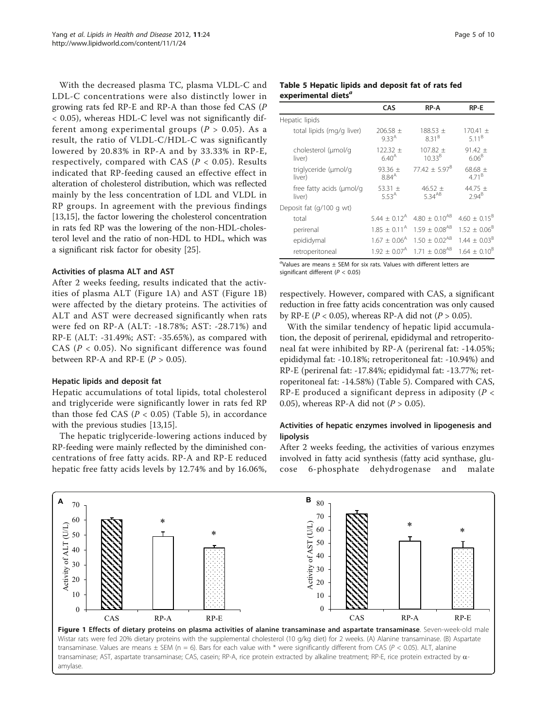With the decreased plasma TC, plasma VLDL-C and LDL-C concentrations were also distinctly lower in growing rats fed RP-E and RP-A than those fed CAS (P < 0.05), whereas HDL-C level was not significantly different among experimental groups ( $P > 0.05$ ). As a result, the ratio of VLDL-C/HDL-C was significantly lowered by 20.83% in RP-A and by 33.33% in RP-E, respectively, compared with CAS ( $P < 0.05$ ). Results indicated that RP-feeding caused an effective effect in alteration of cholesterol distribution, which was reflected mainly by the less concentration of LDL and VLDL in RP groups. In agreement with the previous findings [[13,15\]](#page-9-0), the factor lowering the cholesterol concentration in rats fed RP was the lowering of the non-HDL-cholesterol level and the ratio of non-HDL to HDL, which was a significant risk factor for obesity [[25](#page-9-0)].

# Activities of plasma ALT and AST

After 2 weeks feeding, results indicated that the activities of plasma ALT (Figure 1A) and AST (Figure 1B) were affected by the dietary proteins. The activities of ALT and AST were decreased significantly when rats were fed on RP-A (ALT: -18.78%; AST: -28.71%) and RP-E (ALT: -31.49%; AST: -35.65%), as compared with CAS ( $P < 0.05$ ). No significant difference was found between RP-A and RP-E ( $P > 0.05$ ).

### Hepatic lipids and deposit fat

Hepatic accumulations of total lipids, total cholesterol and triglyceride were significantly lower in rats fed RP than those fed CAS ( $P < 0.05$ ) (Table 5), in accordance with the previous studies [[13,15\]](#page-9-0).

The hepatic triglyceride-lowering actions induced by RP-feeding were mainly reflected by the diminished concentrations of free fatty acids. RP-A and RP-E reduced hepatic free fatty acids levels by 12.74% and by 16.06%,

# Table 5 Hepatic lipids and deposit fat of rats fed experimental diets<sup>a</sup>

|                                    | CAS                              | RP-A                        | RP-E                             |
|------------------------------------|----------------------------------|-----------------------------|----------------------------------|
| Hepatic lipids                     |                                  |                             |                                  |
| total lipids (mg/g liver)          | 206.58 $\pm$<br>933 <sup>A</sup> | $188.53 \pm$<br>$831^B$     | $170.41 \pm$<br>$5.11^{B}$       |
| cholesterol (µmol/g<br>liver)      | 122.32 $\pm$<br>$6.40^{A}$       | $107.82 \pm$<br>$10.33^{B}$ | $91.42 \pm$<br>6.06 <sup>B</sup> |
| triglyceride (µmol/g<br>liver)     | 93.36 $\pm$<br>$8.84^{A}$        | $77.42 \pm 5.97^8$          | 68.68 $\pm$<br>$471^B$           |
| free fatty acids (µmol/q<br>liver) | $53.31 +$<br>553 <sup>A</sup>    | $46.52 +$<br>$5.34^{AB}$    | $44.75 +$<br>$294^B$             |
| Deposit fat (g/100 g wt)           |                                  |                             |                                  |
| total                              | 5.44 $\pm$ 0.12 <sup>A</sup>     | $4.80 + 0.10^{AB}$          | $4.60 \pm 0.15^{\circ}$          |
| perirenal                          | $1.85 \pm 0.11^{\text{A}}$       | $1.59 \pm 0.08^{AB}$        | $1.52 \pm 0.06^{\circ}$          |
| epididymal                         | $1.67 \pm 0.06$ <sup>A</sup>     | $1.50 \pm 0.02^{AB}$        | $1.44 + 0.03^{\circ}$            |
| retroperitoneal                    | $1.92 + 0.07A$                   | $1.71 \pm 0.08^{AB}$        | $1.64 + 0.10^{6}$                |

 $a$ Values are means  $\pm$  SEM for six rats. Values with different letters are significant different ( $P < 0.05$ )

respectively. However, compared with CAS, a significant reduction in free fatty acids concentration was only caused by RP-E ( $P < 0.05$ ), whereas RP-A did not ( $P > 0.05$ ).

With the similar tendency of hepatic lipid accumulation, the deposit of perirenal, epididymal and retroperitoneal fat were inhibited by RP-A (perirenal fat: -14.05%; epididymal fat: -10.18%; retroperitoneal fat: -10.94%) and RP-E (perirenal fat: -17.84%; epididymal fat: -13.77%; retroperitoneal fat: -14.58%) (Table 5). Compared with CAS, RP-E produced a significant depress in adiposity ( $P <$ 0.05), whereas RP-A did not  $(P > 0.05)$ .

# Activities of hepatic enzymes involved in lipogenesis and lipolysis

After 2 weeks feeding, the activities of various enzymes involved in fatty acid synthesis (fatty acid synthase, glucose 6-phosphate dehydrogenase and malate



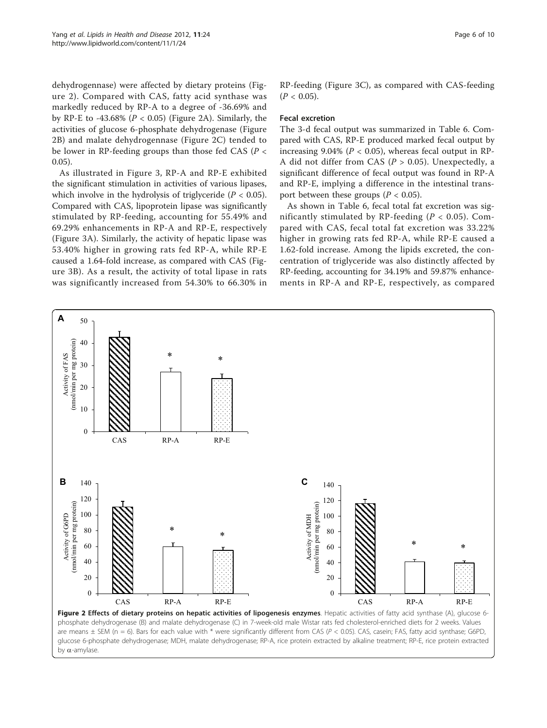dehydrogennase) were affected by dietary proteins (Figure 2). Compared with CAS, fatty acid synthase was markedly reduced by RP-A to a degree of -36.69% and by RP-E to -43.68% ( $P < 0.05$ ) (Figure 2A). Similarly, the activities of glucose 6-phosphate dehydrogenase (Figure 2B) and malate dehydrogennase (Figure 2C) tended to be lower in RP-feeding groups than those fed CAS ( $P <$ 0.05).

As illustrated in Figure [3](#page-6-0), RP-A and RP-E exhibited the significant stimulation in activities of various lipases, which involve in the hydrolysis of triglyceride ( $P < 0.05$ ). Compared with CAS, lipoprotein lipase was significantly stimulated by RP-feeding, accounting for 55.49% and 69.29% enhancements in RP-A and RP-E, respectively (Figure [3A\)](#page-6-0). Similarly, the activity of hepatic lipase was 53.40% higher in growing rats fed RP-A, while RP-E caused a 1.64-fold increase, as compared with CAS (Figure [3B\)](#page-6-0). As a result, the activity of total lipase in rats was significantly increased from 54.30% to 66.30% in RP-feeding (Figure [3C\)](#page-6-0), as compared with CAS-feeding  $(P < 0.05)$ .

#### Fecal excretion

The 3-d fecal output was summarized in Table [6](#page-6-0). Compared with CAS, RP-E produced marked fecal output by increasing 9.04% ( $P < 0.05$ ), whereas fecal output in RP-A did not differ from CAS ( $P > 0.05$ ). Unexpectedly, a significant difference of fecal output was found in RP-A and RP-E, implying a difference in the intestinal transport between these groups ( $P < 0.05$ ).

As shown in Table [6,](#page-6-0) fecal total fat excretion was significantly stimulated by RP-feeding ( $P < 0.05$ ). Compared with CAS, fecal total fat excretion was 33.22% higher in growing rats fed RP-A, while RP-E caused a 1.62-fold increase. Among the lipids excreted, the concentration of triglyceride was also distinctly affected by RP-feeding, accounting for 34.19% and 59.87% enhancements in RP-A and RP-E, respectively, as compared



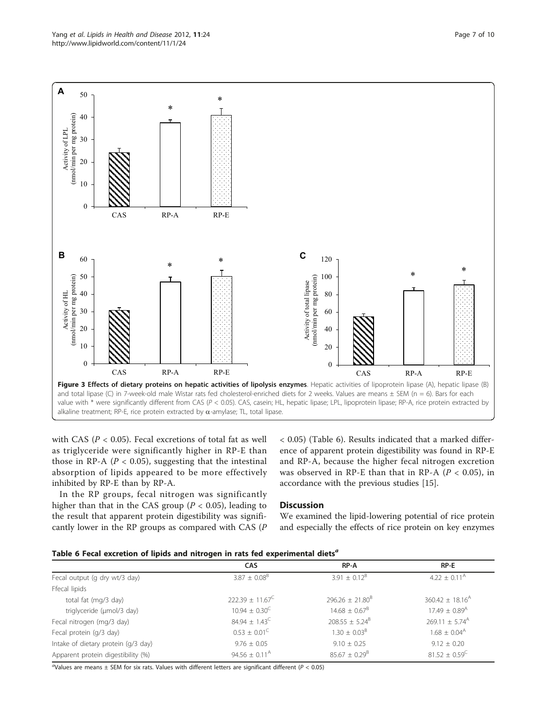with CAS ( $P < 0.05$ ). Fecal excretions of total fat as well as triglyceride were significantly higher in RP-E than those in RP-A ( $P < 0.05$ ), suggesting that the intestinal absorption of lipids appeared to be more effectively inhibited by RP-E than by RP-A.

In the RP groups, fecal nitrogen was significantly higher than that in the CAS group ( $P < 0.05$ ), leading to the result that apparent protein digestibility was significantly lower in the RP groups as compared with CAS (P

< 0.05) (Table 6). Results indicated that a marked difference of apparent protein digestibility was found in RP-E and RP-A, because the higher fecal nitrogen excretion was observed in RP-E than that in RP-A ( $P < 0.05$ ), in accordance with the previous studies [[15](#page-9-0)].

# **Discussion**

We examined the lipid-lowering potential of rice protein and especially the effects of rice protein on key enzymes



| <b>CAS</b>                  | RP-A                         | RP-E                           |
|-----------------------------|------------------------------|--------------------------------|
| $3.87 \pm 0.08^{\circ}$     | 3.91 $\pm$ 0.12 <sup>B</sup> | $4.22 \pm 0.11^{\text{A}}$     |
|                             |                              |                                |
| $222.39 \pm 11.67^{\circ}$  | $296.26 + 21.80^8$           | $360.42 \pm 18.16^{\text{A}}$  |
| $10.94 \pm 0.30^{\circ}$    | $14.68 \pm 0.67^B$           | $17.49 \pm 0.89$ <sup>A</sup>  |
| $84.94 + 1.43^C$            | $208.55 + 5.24^8$            | $269.11 \pm 5.74$ <sup>A</sup> |
| $0.53 \pm 0.01^{\circ}$     | $1.30 \pm 0.03^8$            | $1.68 \pm 0.04^{\text{A}}$     |
| $9.76 \pm 0.05$             | $9.10 \pm 0.25$              | $9.12 \pm 0.20$                |
| $94.56 \pm 0.11^{\text{A}}$ | $85.67 \pm 0.29^{\circ}$     | $81.52 \pm 0.59^{\circ}$       |
|                             |                              |                                |

<sup>a</sup>Values are means  $\pm$  SEM for six rats. Values with different letters are significant different ( $P < 0.05$ )

<span id="page-6-0"></span>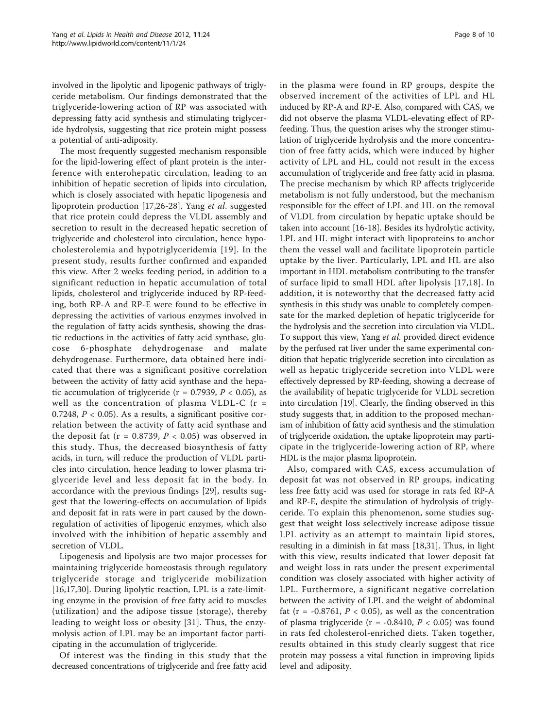involved in the lipolytic and lipogenic pathways of triglyceride metabolism. Our findings demonstrated that the triglyceride-lowering action of RP was associated with depressing fatty acid synthesis and stimulating triglyceride hydrolysis, suggesting that rice protein might possess a potential of anti-adiposity.

The most frequently suggested mechanism responsible for the lipid-lowering effect of plant protein is the interference with enterohepatic circulation, leading to an inhibition of hepatic secretion of lipids into circulation, which is closely associated with hepatic lipogenesis and lipoprotein production [[17,26-28](#page-9-0)]. Yang et al. suggested that rice protein could depress the VLDL assembly and secretion to result in the decreased hepatic secretion of triglyceride and cholesterol into circulation, hence hypocholesterolemia and hypotriglyceridemia [[19](#page-9-0)]. In the present study, results further confirmed and expanded this view. After 2 weeks feeding period, in addition to a significant reduction in hepatic accumulation of total lipids, cholesterol and triglyceride induced by RP-feeding, both RP-A and RP-E were found to be effective in depressing the activities of various enzymes involved in the regulation of fatty acids synthesis, showing the drastic reductions in the activities of fatty acid synthase, glucose 6-phosphate dehydrogenase and malate dehydrogenase. Furthermore, data obtained here indicated that there was a significant positive correlation between the activity of fatty acid synthase and the hepatic accumulation of triglyceride ( $r = 0.7939$ ,  $P < 0.05$ ), as well as the concentration of plasma VLDL-C (r = 0.7248,  $P < 0.05$ ). As a results, a significant positive correlation between the activity of fatty acid synthase and the deposit fat ( $r = 0.8739$ ,  $P < 0.05$ ) was observed in this study. Thus, the decreased biosynthesis of fatty acids, in turn, will reduce the production of VLDL particles into circulation, hence leading to lower plasma triglyceride level and less deposit fat in the body. In accordance with the previous findings [\[29](#page-9-0)], results suggest that the lowering-effects on accumulation of lipids and deposit fat in rats were in part caused by the downregulation of activities of lipogenic enzymes, which also involved with the inhibition of hepatic assembly and secretion of VLDL.

Lipogenesis and lipolysis are two major processes for maintaining triglyceride homeostasis through regulatory triglyceride storage and triglyceride mobilization [[16,17,30](#page-9-0)]. During lipolytic reaction, LPL is a rate-limiting enzyme in the provision of free fatty acid to muscles (utilization) and the adipose tissue (storage), thereby leading to weight loss or obesity [[31\]](#page-9-0). Thus, the enzymolysis action of LPL may be an important factor participating in the accumulation of triglyceride.

Of interest was the finding in this study that the decreased concentrations of triglyceride and free fatty acid in the plasma were found in RP groups, despite the observed increment of the activities of LPL and HL induced by RP-A and RP-E. Also, compared with CAS, we did not observe the plasma VLDL-elevating effect of RPfeeding. Thus, the question arises why the stronger stimulation of triglyceride hydrolysis and the more concentration of free fatty acids, which were induced by higher activity of LPL and HL, could not result in the excess accumulation of triglyceride and free fatty acid in plasma. The precise mechanism by which RP affects triglyceride metabolism is not fully understood, but the mechanism responsible for the effect of LPL and HL on the removal of VLDL from circulation by hepatic uptake should be taken into account [\[16-18](#page-9-0)]. Besides its hydrolytic activity, LPL and HL might interact with lipoproteins to anchor them the vessel wall and facilitate lipoprotein particle uptake by the liver. Particularly, LPL and HL are also important in HDL metabolism contributing to the transfer of surface lipid to small HDL after lipolysis [[17,18\]](#page-9-0). In addition, it is noteworthy that the decreased fatty acid synthesis in this study was unable to completely compensate for the marked depletion of hepatic triglyceride for the hydrolysis and the secretion into circulation via VLDL. To support this view, Yang et al. provided direct evidence by the perfused rat liver under the same experimental condition that hepatic triglyceride secretion into circulation as well as hepatic triglyceride secretion into VLDL were effectively depressed by RP-feeding, showing a decrease of the availability of hepatic triglyceride for VLDL secretion into circulation [[19\]](#page-9-0). Clearly, the finding observed in this study suggests that, in addition to the proposed mechanism of inhibition of fatty acid synthesis and the stimulation of triglyceride oxidation, the uptake lipoprotein may participate in the triglyceride-lowering action of RP, where HDL is the major plasma lipoprotein.

Also, compared with CAS, excess accumulation of deposit fat was not observed in RP groups, indicating less free fatty acid was used for storage in rats fed RP-A and RP-E, despite the stimulation of hydrolysis of triglyceride. To explain this phenomenon, some studies suggest that weight loss selectively increase adipose tissue LPL activity as an attempt to maintain lipid stores, resulting in a diminish in fat mass [[18,31](#page-9-0)]. Thus, in light with this view, results indicated that lower deposit fat and weight loss in rats under the present experimental condition was closely associated with higher activity of LPL. Furthermore, a significant negative correlation between the activity of LPL and the weight of abdominal fat (r =  $-0.8761$ ,  $P < 0.05$ ), as well as the concentration of plasma triglyceride ( $r = -0.8410$ ,  $P < 0.05$ ) was found in rats fed cholesterol-enriched diets. Taken together, results obtained in this study clearly suggest that rice protein may possess a vital function in improving lipids level and adiposity.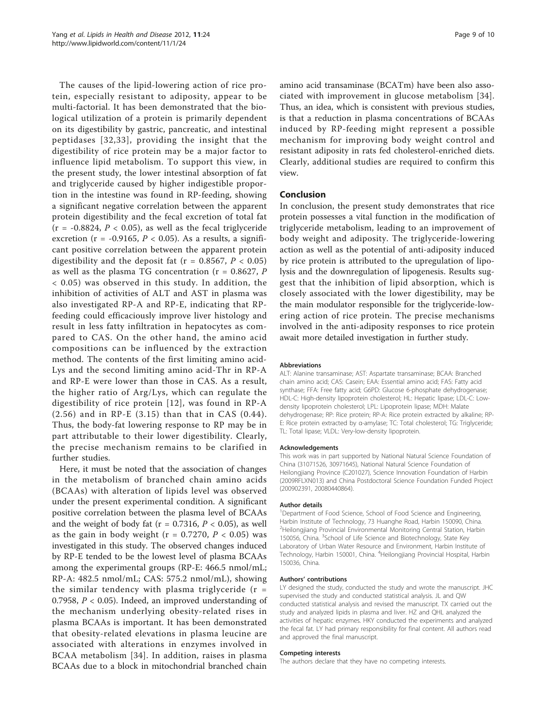The causes of the lipid-lowering action of rice protein, especially resistant to adiposity, appear to be multi-factorial. It has been demonstrated that the biological utilization of a protein is primarily dependent on its digestibility by gastric, pancreatic, and intestinal peptidases [[32,33\]](#page-9-0), providing the insight that the digestibility of rice protein may be a major factor to influence lipid metabolism. To support this view, in the present study, the lower intestinal absorption of fat and triglyceride caused by higher indigestible proportion in the intestine was found in RP-feeding, showing a significant negative correlation between the apparent protein digestibility and the fecal excretion of total fat  $(r = -0.8824, P < 0.05)$ , as well as the fecal triglyceride excretion ( $r = -0.9165$ ,  $P < 0.05$ ). As a results, a significant positive correlation between the apparent protein digestibility and the deposit fat ( $r = 0.8567$ ,  $P < 0.05$ ) as well as the plasma TG concentration ( $r = 0.8627$ ,  $P$ < 0.05) was observed in this study. In addition, the inhibition of activities of ALT and AST in plasma was also investigated RP-A and RP-E, indicating that RPfeeding could efficaciously improve liver histology and result in less fatty infiltration in hepatocytes as compared to CAS. On the other hand, the amino acid compositions can be influenced by the extraction method. The contents of the first limiting amino acid-Lys and the second limiting amino acid-Thr in RP-A and RP-E were lower than those in CAS. As a result, the higher ratio of Arg/Lys, which can regulate the digestibility of rice protein [[12](#page-9-0)], was found in RP-A (2.56) and in RP-E (3.15) than that in CAS (0.44). Thus, the body-fat lowering response to RP may be in part attributable to their lower digestibility. Clearly, the precise mechanism remains to be clarified in further studies.

Here, it must be noted that the association of changes in the metabolism of branched chain amino acids (BCAAs) with alteration of lipids level was observed under the present experimental condition. A significant positive correlation between the plasma level of BCAAs and the weight of body fat ( $r = 0.7316$ ,  $P < 0.05$ ), as well as the gain in body weight ( $r = 0.7270$ ,  $P < 0.05$ ) was investigated in this study. The observed changes induced by RP-E tended to be the lowest level of plasma BCAAs among the experimental groups (RP-E: 466.5 nmol/mL; RP-A: 482.5 nmol/mL; CAS: 575.2 nmol/mL), showing the similar tendency with plasma triglyceride  $(r =$ 0.7958,  $P < 0.05$ ). Indeed, an improved understanding of the mechanism underlying obesity-related rises in plasma BCAAs is important. It has been demonstrated that obesity-related elevations in plasma leucine are associated with alterations in enzymes involved in BCAA metabolism [\[34\]](#page-9-0). In addition, raises in plasma BCAAs due to a block in mitochondrial branched chain

amino acid transaminase (BCATm) have been also associated with improvement in glucose metabolism [[34\]](#page-9-0). Thus, an idea, which is consistent with previous studies, is that a reduction in plasma concentrations of BCAAs induced by RP-feeding might represent a possible mechanism for improving body weight control and resistant adiposity in rats fed cholesterol-enriched diets. Clearly, additional studies are required to confirm this view.

# Conclusion

In conclusion, the present study demonstrates that rice protein possesses a vital function in the modification of triglyceride metabolism, leading to an improvement of body weight and adiposity. The triglyceride-lowering action as well as the potential of anti-adiposity induced by rice protein is attributed to the upregulation of lipolysis and the downregulation of lipogenesis. Results suggest that the inhibition of lipid absorption, which is closely associated with the lower digestibility, may be the main modulator responsible for the triglyceride-lowering action of rice protein. The precise mechanisms involved in the anti-adiposity responses to rice protein await more detailed investigation in further study.

#### Abbreviations

ALT: Alanine transaminase; AST: Aspartate transaminase; BCAA: Branched chain amino acid; CAS: Casein; EAA: Essential amino acid; FAS: Fatty acid synthase; FFA: Free fatty acid; G6PD: Glucose 6-phosphate dehydrogenase; HDL-C: High-density lipoprotein cholesterol; HL: Hepatic lipase; LDL-C: Lowdensity lipoprotein cholesterol; LPL: Lipoprotein lipase; MDH: Malate dehydrogenase; RP: Rice protein; RP-A: Rice protein extracted by alkaline; RP-E: Rice protein extracted by α-amylase; TC: Total cholesterol; TG: Triglyceride; TL: Total lipase; VLDL: Very-low-density lipoprotein.

#### Acknowledgements

This work was in part supported by National Natural Science Foundation of China (31071526, 30971645), National Natural Science Foundation of Heilongjiang Province (C201027), Science Innovation Foundation of Harbin (2009RFLXN013) and China Postdoctoral Science Foundation Funded Project (200902391, 20080440864).

#### Author details

<sup>1</sup>Department of Food Science, School of Food Science and Engineering Harbin Institute of Technology, 73 Huanghe Road, Harbin 150090, China. 2 Heilongjiang Provincial Environmental Monitoring Central Station, Harbin 150056, China. <sup>3</sup>School of Life Science and Biotechnology, State Key Laboratory of Urban Water Resource and Environment, Harbin Institute of Technology, Harbin 150001, China. <sup>4</sup>Heilongjiang Provincial Hospital, Harbin 150036, China.

#### Authors' contributions

LY designed the study, conducted the study and wrote the manuscript. JHC supervised the study and conducted statistical analysis. JL and QW conducted statistical analysis and revised the manuscript. TX carried out the study and analyzed lipids in plasma and liver. HZ and QHL analyzed the activities of hepatic enzymes. HKY conducted the experiments and analyzed the fecal fat. LY had primary responsibility for final content. All authors read and approved the final manuscript.

#### Competing interests

The authors declare that they have no competing interests.